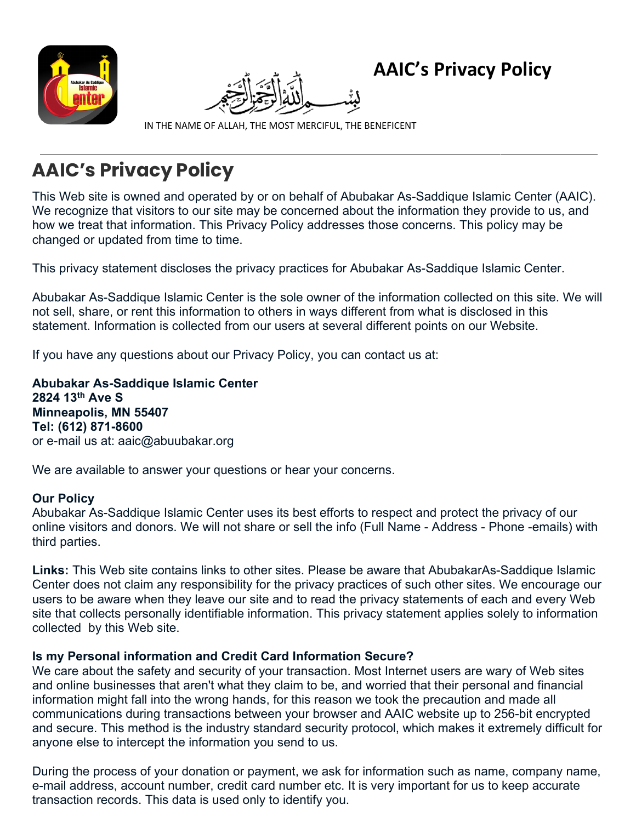



**AAIC's Privacy Policy**

IN THE NAME OF ALLAH, THE MOST MERCIFUL, THE BENEFICENT

# **AAIC's Privacy Policy**

This Web site is owned and operated by or on behalf of Abubakar As-Saddique Islamic Center (AAIC). We recognize that visitors to our site may be concerned about the information they provide to us, and how we treat that information. This Privacy Policy addresses those concerns. This policy may be changed or updated from time to time.

This privacy statement discloses the privacy practices for Abubakar As-Saddique Islamic Center.

Abubakar As-Saddique Islamic Center is the sole owner of the information collected on this site. We will not sell, share, or rent this information to others in ways different from what is disclosed in this statement. Information is collected from our users at several different points on our Website.

If you have any questions about our Privacy Policy, you can contact us at:

**Abubakar As-Saddique Islamic Center 2824 13th Ave S Minneapolis, MN 55407 Tel: (612) 871-8600** or e-mail us at: aaic@abuubakar.org

We are available to answer your questions or hear your concerns.

## **Our Policy**

Abubakar As-Saddique Islamic Center uses its best efforts to respect and protect the privacy of our online visitors and donors. We will not share or sell the info (Full Name - Address - Phone -emails) with third parties.

**Links:** This Web site contains links to other sites. Please be aware that AbubakarAs-Saddique Islamic Center does not claim any responsibility for the privacy practices of such other sites. We encourage our users to be aware when they leave our site and to read the privacy statements of each and every Web site that collects personally identifiable information. This privacy statement applies solely to information collected by this Web site.

## **Is my Personal information and Credit Card Information Secure?**

We care about the safety and security of your transaction. Most Internet users are wary of Web sites and online businesses that aren't what they claim to be, and worried that their personal and financial information might fall into the wrong hands, for this reason we took the precaution and made all communications during transactions between your browser and AAIC website up to 256-bit encrypted and secure. This method is the industry standard security protocol, which makes it extremely difficult for anyone else to intercept the information you send to us.

During the process of your donation or payment, we ask for information such as name, company name, e-mail address, account number, credit card number etc. It is very important for us to keep accurate transaction records. This data is used only to identify you.